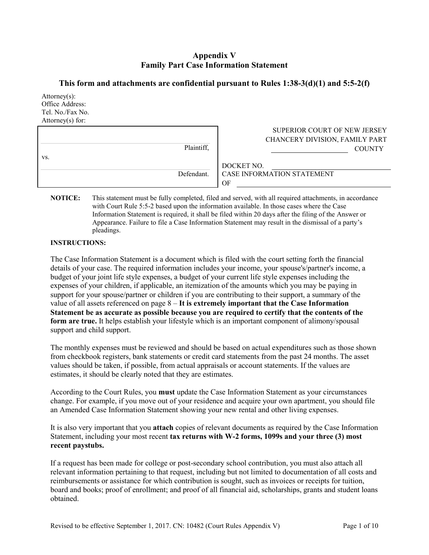## **Appendix V Family Part Case Information Statement**

## **This form and attachments are confidential pursuant to Rules 1:38-3(d)(1) and 5:5-2(f)**

| $Attorney(s)$ :<br>Office Address:<br>Tel. No./Fax No.<br>Attorney $(s)$ for: |            |                                                                                 |
|-------------------------------------------------------------------------------|------------|---------------------------------------------------------------------------------|
|                                                                               | Plaintiff, | SUPERIOR COURT OF NEW JERSEY<br>CHANCERY DIVISION, FAMILY PART<br><b>COUNTY</b> |
| VS.                                                                           | Defendant. | DOCKET NO.<br>CASE INFORMATION STATEMENT                                        |
|                                                                               |            | OF                                                                              |

**NOTICE:** This statement must be fully completed, filed and served, with all required attachments, in accordance with Court Rule 5:5-2 based upon the information available. In those cases where the Case Information Statement is required, it shall be filed within 20 days after the filing of the Answer or Appearance. Failure to file a Case Information Statement may result in the dismissal of a party's pleadings.

#### **INSTRUCTIONS:**

The Case Information Statement is a document which is filed with the court setting forth the financial details of your case. The required information includes your income, your spouse's/partner's income, a budget of your joint life style expenses, a budget of your current life style expenses including the expenses of your children, if applicable, an itemization of the amounts which you may be paying in support for your spouse/partner or children if you are contributing to their support, a summary of the value of all assets referenced on page 8 – **It is extremely important that the Case Information Statement be as accurate as possible because you are required to certify that the contents of the**  form are true. It helps establish your lifestyle which is an important component of alimony/spousal support and child support.

The monthly expenses must be reviewed and should be based on actual expenditures such as those shown from checkbook registers, bank statements or credit card statements from the past 24 months. The asset values should be taken, if possible, from actual appraisals or account statements. If the values are estimates, it should be clearly noted that they are estimates.

According to the Court Rules, you **must** update the Case Information Statement as your circumstances change. For example, if you move out of your residence and acquire your own apartment, you should file an Amended Case Information Statement showing your new rental and other living expenses.

It is also very important that you **attach** copies of relevant documents as required by the Case Information Statement, including your most recent **tax returns with W-2 forms, 1099s and your three (3) most recent paystubs.**

If a request has been made for college or post-secondary school contribution, you must also attach all relevant information pertaining to that request, including but not limited to documentation of all costs and reimbursements or assistance for which contribution is sought, such as invoices or receipts for tuition, board and books; proof of enrollment; and proof of all financial aid, scholarships, grants and student loans obtained.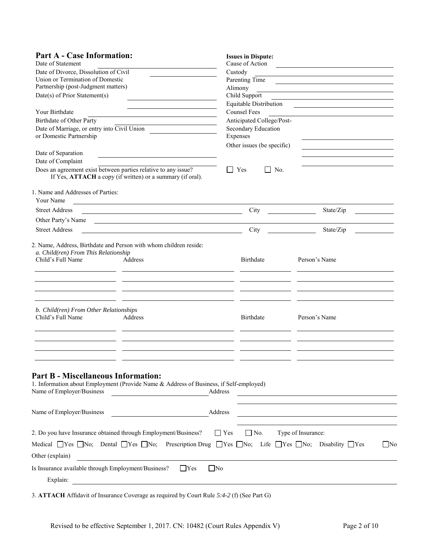| <b>Part A - Case Information:</b><br>Date of Statement<br>Date of Divorce, Dissolution of Civil<br>Union or Termination of Domestic<br>Partnership (post-Judgment matters)<br>Date(s) of Prior Statement(s)<br>Your Birthdate<br><b>Birthdate of Other Party</b><br>Date of Marriage, or entry into Civil Union<br>or Domestic Partnership | <b>Issues in Dispute:</b><br>Cause of Action<br>Custody<br>Parenting Time<br>Alimony<br>Child Support<br>Equitable Distribution<br><b>Counsel Fees</b><br>Anticipated College/Post-<br>Secondary Education<br>Expenses<br>Other issues (be specific) |                                                            |
|--------------------------------------------------------------------------------------------------------------------------------------------------------------------------------------------------------------------------------------------------------------------------------------------------------------------------------------------|------------------------------------------------------------------------------------------------------------------------------------------------------------------------------------------------------------------------------------------------------|------------------------------------------------------------|
| Date of Separation<br>Date of Complaint<br>Does an agreement exist between parties relative to any issue?<br>If Yes, ATTACH a copy (if written) or a summary (if oral).                                                                                                                                                                    | Yes<br>    No.                                                                                                                                                                                                                                       |                                                            |
| 1. Name and Addresses of Parties:<br>Your Name                                                                                                                                                                                                                                                                                             |                                                                                                                                                                                                                                                      |                                                            |
| <b>Street Address</b>                                                                                                                                                                                                                                                                                                                      | City                                                                                                                                                                                                                                                 | State/Zip                                                  |
| Other Party's Name<br><u> 1989 - Johann Barbara, martin amerikan basal dan berasal dan berasal dan berasal dan berasal dan berasal dan</u>                                                                                                                                                                                                 |                                                                                                                                                                                                                                                      |                                                            |
| <b>Street Address</b>                                                                                                                                                                                                                                                                                                                      | City                                                                                                                                                                                                                                                 | State/Zip                                                  |
| 2. Name, Address, Birthdate and Person with whom children reside:<br>a. Child(ren) From This Relationship<br>Child's Full Name<br>Address                                                                                                                                                                                                  | Birthdate                                                                                                                                                                                                                                            | Person's Name                                              |
| b. Child(ren) From Other Relationships<br>Child's Full Name<br>Address                                                                                                                                                                                                                                                                     | Birthdate                                                                                                                                                                                                                                            | Person's Name                                              |
| <b>Part B - Miscellaneous Information:</b><br>1. Information about Employment (Provide Name & Address of Business, if Self-employed)<br>Name of Employer/Business<br><u> 1989 - Johann Barbara, martxa a</u>                                                                                                                               | Address                                                                                                                                                                                                                                              | <u> 1980 - Johann John Stein, fransk politik (f. 1980)</u> |
| Name of Employer/Business                                                                                                                                                                                                                                                                                                                  | Address                                                                                                                                                                                                                                              |                                                            |
| 2. Do you have Insurance obtained through Employment/Business?<br>Medical $\Box$ Yes $\Box$ No; Dental $\Box$ Yes $\Box$ No; Prescription Drug $\Box$ Yes $\Box$ No; Life $\Box$ Yes $\Box$ No; Disability $\Box$ Yes<br>Other (explain)<br>Is Insurance available through Employment/Business?<br>$\Box$ No<br>  Yes                      | $\Gamma$ Yes<br>$\Box$ No.                                                                                                                                                                                                                           | Type of Insurance:<br>$\Box$ No                            |
| Explain:                                                                                                                                                                                                                                                                                                                                   |                                                                                                                                                                                                                                                      |                                                            |

3. **ATTACH** Affidavit of Insurance Coverage as required by Court Rule *5:4-2* (f) (See Part G)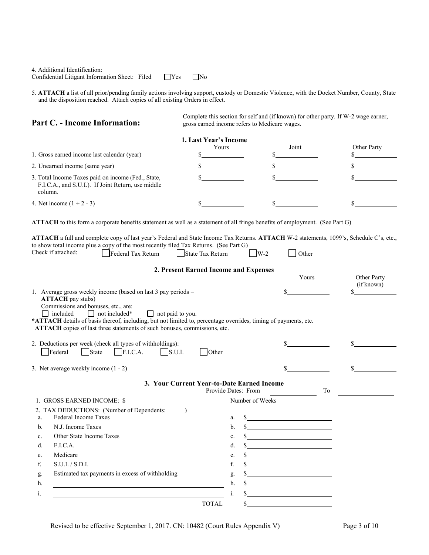| 4. Additional Identification:                  |              |           |
|------------------------------------------------|--------------|-----------|
| Confidential Litigant Information Sheet: Filed | $\Gamma$ Yes | $\Box$ No |

5. **ATTACH** a list of all prior/pending family actions involving support, custody or Domestic Violence, with the Docket Number, County, State and the disposition reached. Attach copies of all existing Orders in effect.

#### **Part C. - Income Information:**

Complete this section for self and (if known) for other party. If W-2 wage earner, gross earned income refers to Medicare wages.

|                                                                                                                     | 1. Last Year's Income |       |             |
|---------------------------------------------------------------------------------------------------------------------|-----------------------|-------|-------------|
|                                                                                                                     | Yours                 | Joint | Other Party |
| 1. Gross earned income last calendar (year)                                                                         |                       |       |             |
| 2. Unearned income (same year)                                                                                      |                       |       |             |
| 3. Total Income Taxes paid on income (Fed., State,<br>F.I.C.A., and S.U.I.). If Joint Return, use middle<br>column. |                       |       |             |
| 4. Net income $(1 + 2 - 3)$                                                                                         |                       |       |             |

**ATTACH** to this form a corporate benefits statement as well as a statement of all fringe benefits of employment. (See Part G)

|                    | <b>ATTACH</b> a full and complete copy of last year's Federal and State Income Tax Returns. <b>ATTACH</b> W-2 statements, 1099's, Schedule C's, etc., |                  |              |               |  |
|--------------------|-------------------------------------------------------------------------------------------------------------------------------------------------------|------------------|--------------|---------------|--|
|                    | to show total income plus a copy of the most recently filed Tax Returns. (See Part G)                                                                 |                  |              |               |  |
| Check if attached: | Federal Tax Return                                                                                                                                    | State Tax Return | $\nabla$ W-2 | $\vert$ Other |  |

#### **2. Present Earned Income and Expenses**

|         |                                                                                                                                                                                                                                                                                                                                                                                                 |    |                     | Yours                                                                                                                  |    | Other Party<br>(if known) |
|---------|-------------------------------------------------------------------------------------------------------------------------------------------------------------------------------------------------------------------------------------------------------------------------------------------------------------------------------------------------------------------------------------------------|----|---------------------|------------------------------------------------------------------------------------------------------------------------|----|---------------------------|
| $\perp$ | 1. Average gross weekly income (based on last 3 pay periods –<br><b>ATTACH</b> pay stubs)<br>Commissions and bonuses, etc., are:<br>$\Box$ not included*<br>included<br>$\Box$ not paid to you.<br>*ATTACH details of basis thereof, including, but not limited to, percentage overrides, timing of payments, etc.<br>ATTACH copies of last three statements of such bonuses, commissions, etc. |    |                     | \$                                                                                                                     |    |                           |
|         | 2. Deductions per week (check all types of withholdings):<br>$\vert$ F.I.C.A.<br>Federal<br>$\vert$ State<br>$\lceil$ s.u.s.<br><b>Other</b>                                                                                                                                                                                                                                                    |    |                     |                                                                                                                        |    |                           |
|         | 3. Net average weekly income $(1 - 2)$                                                                                                                                                                                                                                                                                                                                                          |    |                     |                                                                                                                        |    |                           |
|         | 3. Your Current Year-to-Date Earned Income                                                                                                                                                                                                                                                                                                                                                      |    | Provide Dates: From |                                                                                                                        | To |                           |
|         | 1. GROSS EARNED INCOME: \$                                                                                                                                                                                                                                                                                                                                                                      |    | Number of Weeks     |                                                                                                                        |    |                           |
|         | 2. TAX DEDUCTIONS: (Number of Dependents: _____)                                                                                                                                                                                                                                                                                                                                                |    |                     |                                                                                                                        |    |                           |
| a.      | Federal Income Taxes                                                                                                                                                                                                                                                                                                                                                                            | a. |                     | <u> 1989 - Jan Barbara Barat, masa ka</u>                                                                              |    |                           |
| $b$     | N.J. Income Taxes                                                                                                                                                                                                                                                                                                                                                                               | b. |                     |                                                                                                                        |    |                           |
| c.      | Other State Income Taxes                                                                                                                                                                                                                                                                                                                                                                        | c. |                     | $\frac{\text{S}}{\text{S}}$                                                                                            |    |                           |
| d.      | F.I.C.A.                                                                                                                                                                                                                                                                                                                                                                                        | d. |                     | $\frac{\text{S}}{\text{S}}$                                                                                            |    |                           |
| e.      | Medicare                                                                                                                                                                                                                                                                                                                                                                                        | e. |                     | <u> 1989 - John Stein, mars and de Branch and de Branch and de Branch and de Branch and de Branch and de Branch an</u> |    |                           |
| f.      | S.U.I. / S.D.I.                                                                                                                                                                                                                                                                                                                                                                                 | f. |                     | $\sim$                                                                                                                 |    |                           |
| g.      | Estimated tax payments in excess of withholding                                                                                                                                                                                                                                                                                                                                                 | g. |                     | <u> 1989 - Johann Barbara, martxa alemaniar a</u>                                                                      |    |                           |
| h.      |                                                                                                                                                                                                                                                                                                                                                                                                 | h. |                     | <u> 1980 - Johann Barbara, martin a</u>                                                                                |    |                           |
| i.      |                                                                                                                                                                                                                                                                                                                                                                                                 | 1. |                     |                                                                                                                        |    |                           |
|         | <b>TOTAL</b>                                                                                                                                                                                                                                                                                                                                                                                    |    | \$                  |                                                                                                                        |    |                           |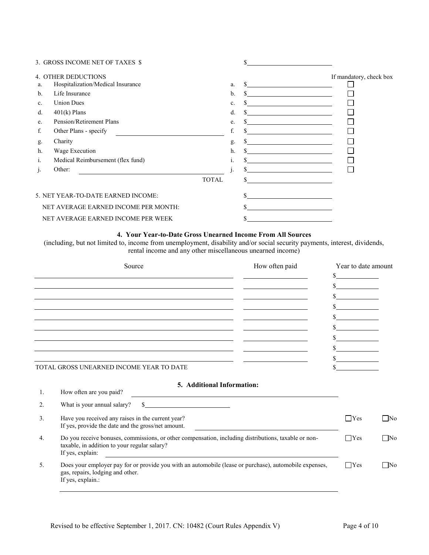|         | 3. GROSS INCOME NET OF TAXES \$      |              |    |                                                                                           |                         |
|---------|--------------------------------------|--------------|----|-------------------------------------------------------------------------------------------|-------------------------|
|         | <b>4. OTHER DEDUCTIONS</b>           |              |    |                                                                                           | If mandatory, check box |
| a.      | Hospitalization/Medical Insurance    |              | a. |                                                                                           |                         |
| b.      | Life Insurance                       |              | b. |                                                                                           |                         |
| c.      | <b>Union Dues</b>                    |              | c. | <u> 1989 - Andrea Station Books, amerikansk politik (d. 1989)</u>                         |                         |
| d.      | $401(k)$ Plans                       |              | d. |                                                                                           |                         |
| e.      | Pension/Retirement Plans             |              | e. |                                                                                           |                         |
| f.      | Other Plans - specify                |              | f. |                                                                                           |                         |
| g.      | Charity                              |              | g. |                                                                                           |                         |
| h.      | Wage Execution                       |              | h. | the control of the control of the control of the control of the control of the control of |                         |
| 1.      | Medical Reimbursement (flex fund)    |              | 1. |                                                                                           |                         |
| $\cdot$ | Other:                               |              |    |                                                                                           |                         |
|         |                                      | <b>TOTAL</b> |    |                                                                                           |                         |
|         | 5. NET YEAR-TO-DATE EARNED INCOME:   |              |    |                                                                                           |                         |
|         | NET AVERAGE EARNED INCOME PER MONTH: |              |    |                                                                                           |                         |
|         | NET AVERAGE EARNED INCOME PER WEEK   |              |    |                                                                                           |                         |

# **4. Your Year-to-Date Gross Unearned Income From All Sources**

(including, but not limited to, income from unemployment, disability and/or social security payments, interest, dividends, rental income and any other miscellaneous unearned income)

|    | Source                                                                                                                                                                                                                                                                                           | How often paid | Year to date amount<br>\$ |           |
|----|--------------------------------------------------------------------------------------------------------------------------------------------------------------------------------------------------------------------------------------------------------------------------------------------------|----------------|---------------------------|-----------|
|    |                                                                                                                                                                                                                                                                                                  |                | $\sim$ $\sim$             |           |
|    |                                                                                                                                                                                                                                                                                                  |                |                           |           |
|    |                                                                                                                                                                                                                                                                                                  |                | $\mathbb{S}$              |           |
|    |                                                                                                                                                                                                                                                                                                  |                |                           |           |
|    |                                                                                                                                                                                                                                                                                                  |                |                           |           |
|    |                                                                                                                                                                                                                                                                                                  |                |                           |           |
|    |                                                                                                                                                                                                                                                                                                  |                |                           |           |
|    |                                                                                                                                                                                                                                                                                                  |                | $\frac{1}{2}$             |           |
|    | TOTAL GROSS UNEARNED INCOME YEAR TO DATE                                                                                                                                                                                                                                                         |                |                           |           |
|    | 5. Additional Information:                                                                                                                                                                                                                                                                       |                |                           |           |
| 1. | How often are you paid?                                                                                                                                                                                                                                                                          |                |                           |           |
| 2. | What is your annual salary?<br>$\sim$                                                                                                                                                                                                                                                            |                |                           |           |
| 3. | Have you received any raises in the current year?<br>If yes, provide the date and the gross/net amount.                                                                                                                                                                                          |                | $\Box$ Yes                | □No       |
| 4. | Do you receive bonuses, commissions, or other compensation, including distributions, taxable or non-<br>taxable, in addition to your regular salary?<br>If yes, explain:<br><u> 1980 - Jan Samuel Barbara, margaret e populari e populari e populari e populari e populari e populari e popu</u> |                | $\Box$ Yes                | $\Box$ No |
| 5. | Does your employer pay for or provide you with an automobile (lease or purchase), automobile expenses,<br>gas, repairs, lodging and other.<br>If yes, explain.:                                                                                                                                  |                | $\Box$ Yes                | ∩No       |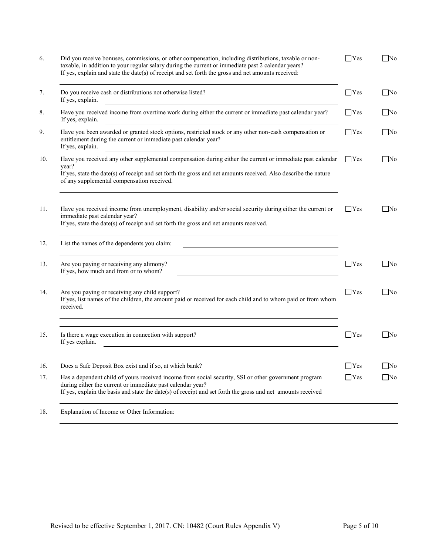| 6.  | Did you receive bonuses, commissions, or other compensation, including distributions, taxable or non-<br>taxable, in addition to your regular salary during the current or immediate past 2 calendar years?<br>If yes, explain and state the date(s) of receipt and set forth the gross and net amounts received: | $\Box$ Yes | $\Box$ No |
|-----|-------------------------------------------------------------------------------------------------------------------------------------------------------------------------------------------------------------------------------------------------------------------------------------------------------------------|------------|-----------|
| 7.  | Do you receive cash or distributions not otherwise listed?<br>If yes, explain.                                                                                                                                                                                                                                    | $\Box$ Yes | $\Box$ No |
| 8.  | Have you received income from overtime work during either the current or immediate past calendar year?<br>If yes, explain.                                                                                                                                                                                        | $\Box$ Yes | No        |
| 9.  | Have you been awarded or granted stock options, restricted stock or any other non-cash compensation or<br>entitlement during the current or immediate past calendar year?<br>If yes, explain.                                                                                                                     | $\Box$ Yes | $\Box$ No |
| 10. | Have you received any other supplemental compensation during either the current or immediate past calendar $\Box$ Yes<br>vear?                                                                                                                                                                                    |            | $\Box$ No |
|     | If yes, state the date(s) of receipt and set forth the gross and net amounts received. Also describe the nature<br>of any supplemental compensation received.                                                                                                                                                     |            |           |
| 11. | Have you received income from unemployment, disability and/or social security during either the current or<br>immediate past calendar year?<br>If yes, state the date(s) of receipt and set forth the gross and net amounts received.                                                                             | $\Box$ Yes | $\Box$ No |
| 12. | List the names of the dependents you claim:                                                                                                                                                                                                                                                                       |            |           |
| 13. | Are you paying or receiving any alimony?<br>If yes, how much and from or to whom?                                                                                                                                                                                                                                 | $\Box$ Yes | $ $ No    |
| 14. | Are you paying or receiving any child support?<br>If yes, list names of the children, the amount paid or received for each child and to whom paid or from whom<br>received.                                                                                                                                       | $\Box$ Yes | $\Box$ No |
| 15. | Is there a wage execution in connection with support?<br>If yes explain.                                                                                                                                                                                                                                          | $\Box$ Yes | $\Box$ No |
| 16. | Does a Safe Deposit Box exist and if so, at which bank?                                                                                                                                                                                                                                                           | $\Box$ Yes | ∣No       |
| 17. | Has a dependent child of yours received income from social security, SSI or other government program<br>during either the current or immediate past calendar year?<br>If yes, explain the basis and state the date(s) of receipt and set forth the gross and net amounts received                                 | $\Box$ Yes | $\Box$ No |
| 18. | Explanation of Income or Other Information:                                                                                                                                                                                                                                                                       |            |           |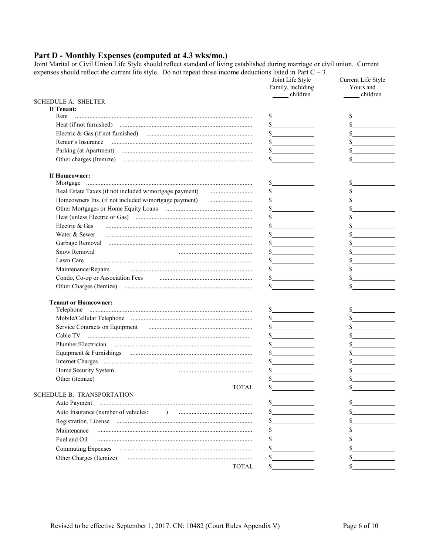# Part D - Monthly Expenses (computed at 4.3 wks/mo.)

Joint Marital or Civil Union Life Style should reflect standard of living established during marriage or civil union. Current expenses should reflect the current life style. Do not repeat those income deductions listed in

|                                                      | Joint Life Style<br>Family, including<br>children | Current Life Style<br>Yours and<br>children |
|------------------------------------------------------|---------------------------------------------------|---------------------------------------------|
| <b>SCHEDULE A: SHELTER</b>                           |                                                   |                                             |
| If Tenant:                                           |                                                   |                                             |
| Rent                                                 | s                                                 |                                             |
|                                                      | $\frac{1}{2}$                                     |                                             |
|                                                      | $\frac{\sqrt{2}}{2}$                              |                                             |
|                                                      | $\frac{1}{2}$                                     |                                             |
|                                                      | $\frac{\text{S}}{\text{S}}$                       |                                             |
|                                                      | S.                                                | \$                                          |
| If Homeowner:                                        |                                                   |                                             |
|                                                      | $\frac{1}{2}$                                     | $\mathbb{S}$                                |
| Homeowners Ins. (if not included w/mortgage payment) | $\frac{\text{S}}{\text{S}}$                       |                                             |
|                                                      | $\frac{\text{S}}{\text{S}}$                       |                                             |
|                                                      |                                                   |                                             |
| Electric & Gas                                       |                                                   |                                             |
| Water & Sewer                                        | <u> 1989 - Johann Barbara, martin a</u>           |                                             |
|                                                      |                                                   |                                             |
| Snow Removal                                         |                                                   |                                             |
|                                                      |                                                   |                                             |
| Maintenance/Repairs                                  | $\sim$                                            | $\frac{\text{S}}{\text{S}}$                 |
| Condo, Co-op or Association Fees                     | $\sim$                                            |                                             |
|                                                      |                                                   | \$                                          |
| <b>Tenant or Homeowner:</b>                          |                                                   |                                             |
|                                                      | $\frac{\sqrt{2}}{2}$                              | $\frac{1}{2}$                               |
|                                                      |                                                   |                                             |
|                                                      | $\frac{\sqrt{2}}{2}$                              |                                             |
|                                                      | $\sim$ $\sim$                                     |                                             |
|                                                      | $\frac{1}{2}$                                     |                                             |
|                                                      | $\frac{1}{2}$                                     |                                             |
|                                                      | $\frac{\text{S}}{\text{S}}$                       |                                             |
| Home Security System                                 |                                                   |                                             |
| Other (itemize)                                      | \$                                                | \$                                          |
| <b>TOTAL</b>                                         |                                                   |                                             |
| <b>SCHEDULE B: TRANSPORTATION</b>                    |                                                   |                                             |
|                                                      |                                                   |                                             |
|                                                      | $\mathbb{S}$                                      |                                             |
|                                                      |                                                   |                                             |
| Maintenance                                          |                                                   |                                             |
| Fuel and Oil                                         |                                                   |                                             |
| <b>Commuting Expenses</b>                            |                                                   |                                             |
| Other Charges (Itemize)                              |                                                   |                                             |
| TOTAL                                                | S.                                                |                                             |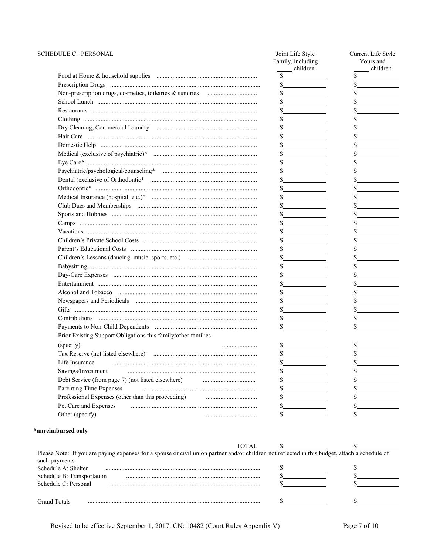#### SCHEDULE C: PERSONAL

| EDULE C: PERSONAL                                             | Joint Life Style<br>Family, including<br>children | Current Life Style<br>Yours and<br>children |
|---------------------------------------------------------------|---------------------------------------------------|---------------------------------------------|
|                                                               | $\frac{\text{S}}{\text{S}}$                       | $\frac{1}{2}$                               |
|                                                               | $\frac{\sqrt{2}}{2}$                              | $\mathbb{S}$                                |
|                                                               | $\frac{1}{2}$                                     | $\frac{1}{2}$                               |
|                                                               | $\frac{1}{2}$                                     | $\sim$                                      |
|                                                               | $\frac{1}{2}$                                     | $\frac{\sqrt{2}}{2}$                        |
|                                                               | $\frac{\sqrt{2}}{2}$                              |                                             |
|                                                               | s                                                 |                                             |
|                                                               | $\frac{1}{2}$                                     | $\frac{\sqrt{2}}{2}$                        |
|                                                               | $\sim$                                            | $\frac{\text{S}}{\text{S}}$                 |
|                                                               | $\frac{1}{2}$                                     | $\frac{\text{S}}{\text{S}}$                 |
|                                                               | $\frac{\sqrt{2}}{2}$                              | $\frac{\text{S}}{\text{S}}$                 |
|                                                               | $\sim$                                            |                                             |
|                                                               | $\frac{\text{S}}{\text{S}}$                       | $\sim$ $\sim$                               |
|                                                               | s                                                 |                                             |
|                                                               | s                                                 |                                             |
|                                                               | s                                                 | $\mathbb{S}$                                |
|                                                               | $\frac{1}{2}$                                     |                                             |
|                                                               | $\frac{\text{S}}{\text{S}}$                       | $\mathbb{S}$                                |
|                                                               | $\frac{1}{2}$                                     | $\frac{\text{S}}{\text{S}}$                 |
|                                                               | $\frac{1}{2}$                                     | $\frac{\text{S}}{\text{S}}$                 |
|                                                               | $\sim$                                            |                                             |
|                                                               | $\frac{1}{2}$                                     |                                             |
|                                                               | $\frac{1}{2}$                                     |                                             |
|                                                               | s                                                 | $\frac{\text{S}}{\text{S}}$                 |
|                                                               | $\frac{1}{2}$                                     | $\frac{\text{S}}{\text{S}}$                 |
|                                                               | $\frac{1}{2}$                                     | $\frac{\text{S}}{\text{S}}$                 |
|                                                               | s                                                 | $\frac{1}{2}$                               |
|                                                               | $\frac{\text{S}}{\text{S}}$                       | $\frac{\text{S}}{\text{S}}$                 |
|                                                               | $\frac{1}{2}$                                     | $\mathbb{S}$                                |
|                                                               | $\frac{\text{S}}{\text{S}}$                       |                                             |
| Prior Existing Support Obligations this family/other families |                                                   |                                             |
| (specify)                                                     | s                                                 | S.                                          |
|                                                               | $\mathbb{S}$                                      |                                             |
| Life Insurance                                                | \$                                                |                                             |
| Savings/Investment                                            | \$                                                |                                             |
| Debt Service (from page 7) (not listed elsewhere)             | \$                                                |                                             |
| Parenting Time Expenses                                       | \$                                                |                                             |
| Professional Expenses (other than this proceeding)            | \$                                                |                                             |
| Pet Care and Expenses                                         | \$                                                |                                             |
| Other (specify)                                               | \$                                                |                                             |
|                                                               |                                                   |                                             |

## \*unreimbursed only

|                                                                                                                                                                  | TOTAL. |  |
|------------------------------------------------------------------------------------------------------------------------------------------------------------------|--------|--|
| Please Note: If you are paying expenses for a spouse or civil union partner and/or children not reflected in this budget, attach a schedule of<br>such payments. |        |  |
| Schedule A: Shelter                                                                                                                                              |        |  |
| Schedule B: Transportation                                                                                                                                       |        |  |
| Schedule C: Personal                                                                                                                                             |        |  |
|                                                                                                                                                                  |        |  |
| Grand Totals                                                                                                                                                     |        |  |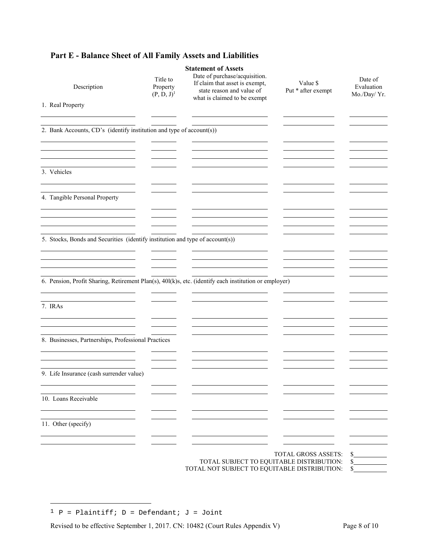# **Part E - Balance Sheet of All Family Assets and Liabilities**

| Description                                                                                           | Title to<br>Property<br>$(P, D, J)$ <sup>1</sup> | <b>Statement of Assets</b><br>Date of purchase/acquisition.<br>If claim that asset is exempt,<br>state reason and value of<br>what is claimed to be exempt | Value \$<br>Put * after exempt | Date of<br>Evaluation<br>Mo./Day/Yr. |
|-------------------------------------------------------------------------------------------------------|--------------------------------------------------|------------------------------------------------------------------------------------------------------------------------------------------------------------|--------------------------------|--------------------------------------|
| 1. Real Property                                                                                      |                                                  |                                                                                                                                                            |                                |                                      |
| 2. Bank Accounts, CD's (identify institution and type of account(s))                                  |                                                  |                                                                                                                                                            |                                |                                      |
| 3. Vehicles                                                                                           |                                                  |                                                                                                                                                            |                                |                                      |
| $\sim$<br>4. Tangible Personal Property                                                               |                                                  |                                                                                                                                                            |                                |                                      |
| 5. Stocks, Bonds and Securities (identify institution and type of account(s))                         |                                                  |                                                                                                                                                            |                                |                                      |
| 6. Pension, Profit Sharing, Retirement Plan(s), 401(k)s, etc. (identify each institution or employer) |                                                  |                                                                                                                                                            |                                |                                      |
| 7. IRAs                                                                                               |                                                  |                                                                                                                                                            |                                |                                      |
| 8. Businesses, Partnerships, Professional Practices                                                   |                                                  |                                                                                                                                                            |                                |                                      |
| 9. Life Insurance (cash surrender value)                                                              |                                                  |                                                                                                                                                            |                                |                                      |
| 10. Loans Receivable                                                                                  |                                                  |                                                                                                                                                            |                                |                                      |
| 11. Other (specify)                                                                                   |                                                  |                                                                                                                                                            |                                |                                      |
|                                                                                                       |                                                  | TOTAL SUBJECT TO EQUITABLE DISTRIBUTION:<br>TOTAL NOT SUBJECT TO EQUITABLE DISTRIBUTION:                                                                   | <b>TOTAL GROSS ASSETS:</b>     | \$<br>\$<br>\$                       |

a<br>B

<sup>&</sup>lt;sup>1</sup> P = Plaintiff; D = Defendant; J = Joint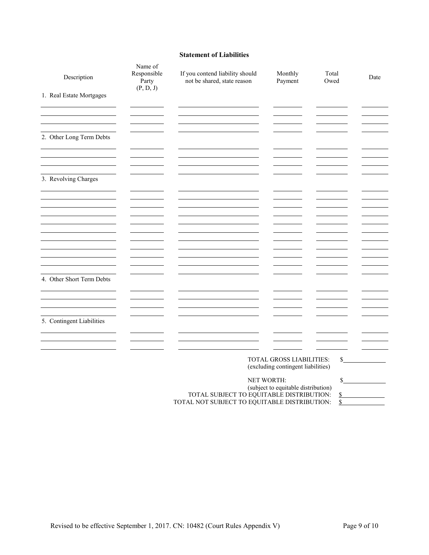#### **Statement of Liabilities**

| Description               | Name of<br>Responsible<br>Party<br>(P, D, J)                                                                                                                                        | If you contend liability should<br>not be shared, state reason | Monthly<br>Payment       | Total<br>Owed | Date |
|---------------------------|-------------------------------------------------------------------------------------------------------------------------------------------------------------------------------------|----------------------------------------------------------------|--------------------------|---------------|------|
| 1. Real Estate Mortgages  |                                                                                                                                                                                     |                                                                |                          |               |      |
| 2. Other Long Term Debts  |                                                                                                                                                                                     |                                                                |                          |               |      |
| 3. Revolving Charges      |                                                                                                                                                                                     |                                                                |                          |               |      |
|                           |                                                                                                                                                                                     |                                                                |                          |               |      |
|                           |                                                                                                                                                                                     |                                                                |                          |               |      |
| 4. Other Short Term Debts |                                                                                                                                                                                     |                                                                |                          |               |      |
| 5. Contingent Liabilities |                                                                                                                                                                                     |                                                                |                          |               |      |
|                           |                                                                                                                                                                                     |                                                                | TOTAL GROSS LIABILITIES: | $\mathbb{S}$  |      |
|                           | (excluding contingent liabilities)<br>NET WORTH:<br>(subject to equitable distribution)<br>TOTAL SUBJECT TO EQUITABLE DISTRIBUTION:<br>TOTAL NOT SUBJECT TO EQUITABLE DISTRIBUTION: |                                                                |                          |               |      |